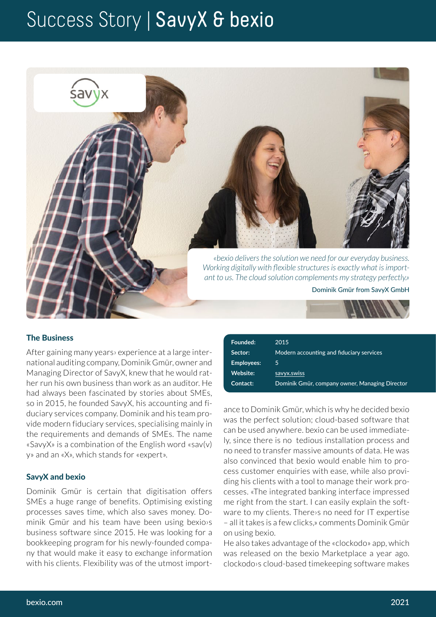## Success Story | SavyX & bexio



### The Business

After gaining many years› experience at a large international auditing company, Dominik Gmür, owner and Managing Director of SavyX, knew that he would rather run his own business than work as an auditor. He had always been fascinated by stories about SMEs, so in 2015, he founded SavyX, his accounting and fiduciary services company. Dominik and his team provide modern fiduciary services, specialising mainly in the requirements and demands of SMEs. The name «SavyX» is a combination of the English word «sav(v) y» and an «X», which stands for «expert».

#### SavyX and bexio

Dominik Gmür is certain that digitisation offers SMEs a huge range of benefits. Optimising existing processes saves time, which also saves money. Dominik Gmür and his team have been using bexio›s business software since 2015. He was looking for a bookkeeping program for his newly-founded company that would make it easy to exchange information with his clients. Flexibility was of the utmost import-

| 2015                                           |
|------------------------------------------------|
| Modern accounting and fiduciary services       |
| 5                                              |
| savyx.swiss                                    |
| Dominik Gmür, company owner, Managing Director |
|                                                |

ance to Dominik Gmür, which is why he decided bexio was the perfect solution; cloud-based software that can be used anywhere. bexio can be used immediately, since there is no tedious installation process and no need to transfer massive amounts of data. He was also convinced that bexio would enable him to process customer enquiries with ease, while also providing his clients with a tool to manage their work processes. «The integrated banking interface impressed me right from the start. I can easily explain the software to my clients. There›s no need for IT expertise – all it takes is a few clicks,» comments Dominik Gmür on using bexio.

He also takes advantage of the «clockodo» app, which was released on the bexio Marketplace a year ago. clockodo›s cloud-based timekeeping software makes